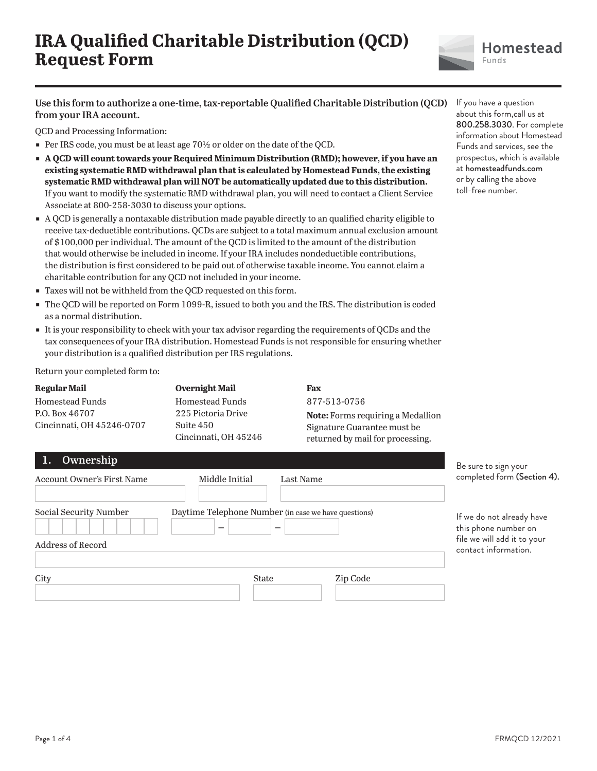

**Use this form to authorize a one-time, tax-reportable Qualified Charitable Distribution (QCD) from your IRA account.**

QCD and Processing Information:

- Per IRS code, you must be at least age  $70\frac{1}{2}$  or older on the date of the QCD.
- **A OCD will count towards your Required Minimum Distribution (RMD); however, if you have an existing systematic RMD withdrawal plan that is calculated by Homestead Funds, the existing systematic RMD withdrawal plan will NOT be automatically updated due to this distribution.** If you want to modify the systematic RMD withdrawal plan, you will need to contact a Client Service Associate at 800-258-3030 to discuss your options.
- ɕ A QCD is generally a nontaxable distribution made payable directly to an qualified charity eligible to receive tax-deductible contributions. QCDs are subject to a total maximum annual exclusion amount of \$100,000 per individual. The amount of the QCD is limited to the amount of the distribution that would otherwise be included in income. If your IRA includes nondeductible contributions, the distribution is first considered to be paid out of otherwise taxable income. You cannot claim a charitable contribution for any QCD not included in your income.
- Taxes will not be withheld from the QCD requested on this form.
- The QCD will be reported on Form 1099-R, issued to both you and the IRS. The distribution is coded as a normal distribution.
- It is your responsibility to check with your tax advisor regarding the requirements of QCDs and the tax consequences of your IRA distribution. Homestead Funds is not responsible for ensuring whether your distribution is a qualified distribution per IRS regulations.

Return your completed form to:

#### **Regular Mail**

Homestead Funds P.O. Box 46707 Cincinnati, OH 45246-0707 **Overnight Mail** Homestead Funds 225 Pictoria Drive Suite 450 Cincinnati, OH 45246

## **Fax**

877-513-0756 **Note:** Forms requiring a Medallion Signature Guarantee must be returned by mail for processing.

| <b>Account Owner's First Name</b>                  | Middle Initial                                       | Last Name | com                            |
|----------------------------------------------------|------------------------------------------------------|-----------|--------------------------------|
| Social Security Number<br><b>Address of Record</b> | Daytime Telephone Number (in case we have questions) |           | If w<br>this<br>file :<br>cont |
| City                                               | State                                                | Zip Code  |                                |

If you have a question about this form,call us at 800.258.3030. For complete information about Homestead Funds and services, see the prospectus, which is available at homesteadfunds.com or by calling the above toll-free number.

sure to sign your npleted form (Section 4).

e do not already have phone number on we will add it to your tact information.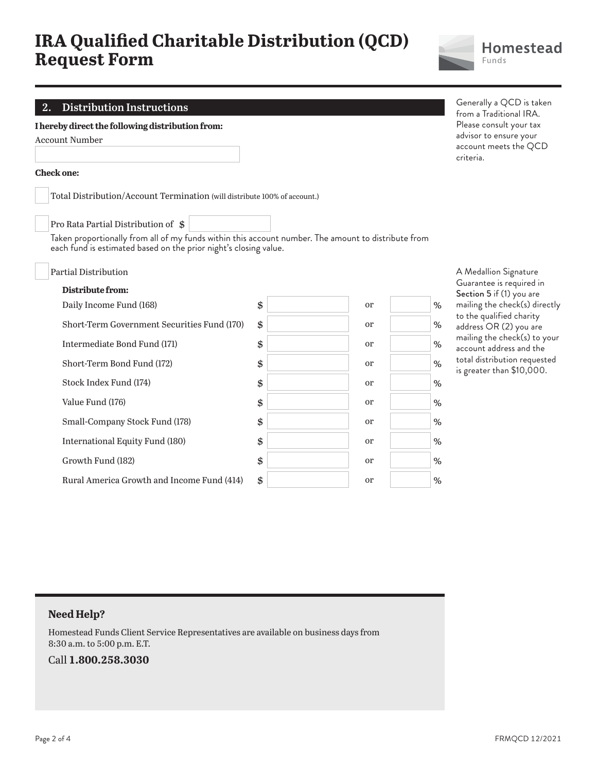

Generally a QCD is taken from a Traditional IRA. Please consult your tax advisor to ensure your account meets the QCD

criteria.

### **2. Distribution Instructions**

#### **I hereby direct the following distribution from:**

Account Number

#### **Check one:**

Total Distribution/Account Termination (will distribute 100% of account.)

Pro Rata Partial Distribution of \$

Taken proportionally from all of my funds within this account number. The amount to distribute from each fund is estimated based on the prior night's closing value.

| Partial Distribution                        |    |               |   |
|---------------------------------------------|----|---------------|---|
| Distribute from:                            |    |               |   |
| Daily Income Fund (168)                     | \$ | <sub>or</sub> | % |
| Short-Term Government Securities Fund (170) | \$ | <sub>or</sub> | % |
| Intermediate Bond Fund (171)                | \$ | <sub>or</sub> | % |
| Short-Term Bond Fund (172)                  | \$ | <sub>or</sub> | % |
| Stock Index Fund (174)                      | \$ | <sub>or</sub> | % |
| Value Fund (176)                            | \$ | <sub>or</sub> | % |
| Small-Company Stock Fund (178)              | \$ | <sub>or</sub> | % |
| International Equity Fund (180)             | \$ | <sub>or</sub> | % |
| Growth Fund (182)                           | \$ | <sub>or</sub> | % |
| Rural America Growth and Income Fund (414)  | \$ | <sub>or</sub> | % |
|                                             |    |               |   |

A Medallion Signature Guarantee is required in Section 5 if (1) you are mailing the check(s) directly to the qualified charity address OR (2) you are mailing the check(s) to your account address and the total distribution requested is greater than \$10,000.

### **Need Help?**

Homestead Funds Client Service Representatives are available on business days from 8:30 a.m. to 5:00 p.m. E.T.

#### Call **1.800.258.3030**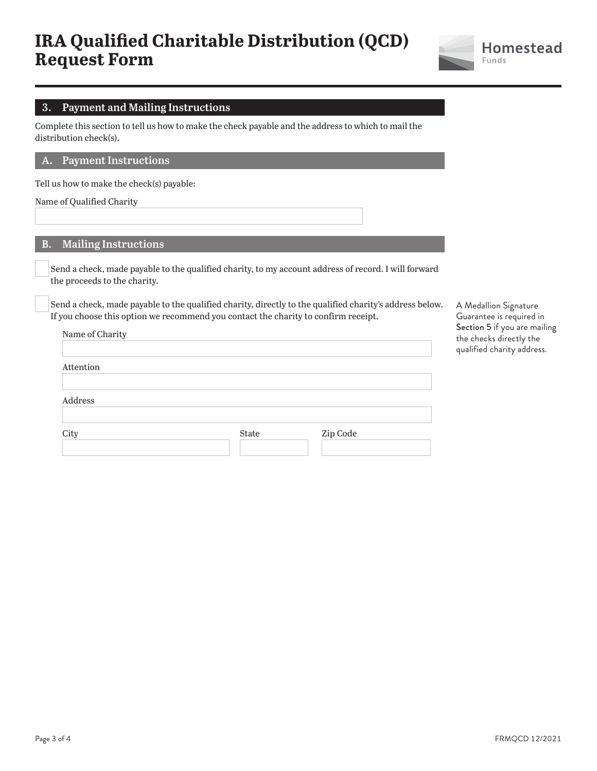

### **3. Payment and Mailing Instructions**

Complete this section to tell us how to make the check payable and the address to which to mail the distribution check(s).

#### **A. Payment Instructions**

Tell us how to make the check(s) payable:

Name of Qualified Charity

#### **B. Mailing Instructions**

 Send a check, made payable to the qualified charity, to my account address of record. I will forward the proceeds to the charity.

 Send a check, made payable to the qualified charity, directly to the qualified charity's address below. If you choose this option we recommend you contact the charity to confirm receipt.

| Attention |  |
|-----------|--|
|           |  |
|           |  |
| Address   |  |
|           |  |
|           |  |

A Medallion Signature Guarantee is required in Section 5 if you are mailing the checks directly the qualified charity address.